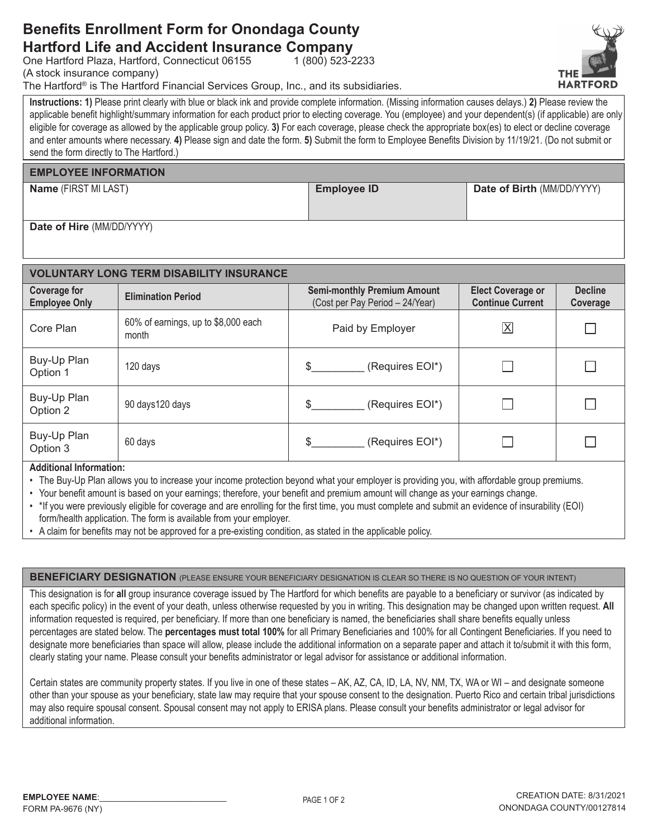## **Benefits Enrollment Form for Onondaga County Hartford Life and Accident Insurance Company**

One Hartford Plaza, Hartford, Connecticut 06155

(A stock insurance company)

The Hartford® is The Hartford Financial Services Group, Inc., and its subsidiaries.

Instructions: 1) Please print clearly with blue or black ink and provide complete information. (Missing information causes delays.) 2) Please review the applicable benefit highlight/summary information for each product prior to electing coverage. You (employee) and your dependent(s) (if applicable) are only eligible for coverage as allowed by the applicable group policy. 3) For each coverage, please check the appropriate box(es) to elect or decline coverage and enter amounts where necessary. 4) Please sign and date the form. 5) Submit the form to Employee Benefits Division by 11/19/21. (Do not submit or send the form directly to The Hartford.)

 $1(800)$  523-2233

#### **EMPLOYEE INFORMATION**

Name (FIRST MI LAST)

**Employee ID** 

Date of Birth (MM/DD/YYYY)

Date of Hire (MM/DD/YYYY)

| <b>VOLUNTARY LONG TERM DISABILITY INSURANCE</b> |                                              |                                                                       |                                                     |                            |  |  |  |  |
|-------------------------------------------------|----------------------------------------------|-----------------------------------------------------------------------|-----------------------------------------------------|----------------------------|--|--|--|--|
| <b>Coverage for</b><br><b>Employee Only</b>     | <b>Elimination Period</b>                    | <b>Semi-monthly Premium Amount</b><br>(Cost per Pay Period - 24/Year) | <b>Elect Coverage or</b><br><b>Continue Current</b> | <b>Decline</b><br>Coverage |  |  |  |  |
| Core Plan                                       | 60% of earnings, up to \$8,000 each<br>month | Paid by Employer                                                      | $\overline{\mathsf{X}}$                             |                            |  |  |  |  |
| Buy-Up Plan<br>Option 1                         | 120 days                                     | (Requires EOI*)<br>\$.                                                |                                                     |                            |  |  |  |  |
| Buy-Up Plan<br>Option 2                         | 90 days 120 days                             | \$.<br>(Requires EOI*)                                                |                                                     |                            |  |  |  |  |
| Buy-Up Plan<br>Option 3                         | 60 days                                      | \$.<br>(Requires EOI*)                                                |                                                     |                            |  |  |  |  |

**Additional Information:** 

- The Buy-Up Plan allows you to increase your income protection beyond what your employer is providing you, with affordable group premiums.
- Your benefit amount is based on your earnings; therefore, your benefit and premium amount will change as your earnings change.
- . \* If you were previously eligible for coverage and are enrolling for the first time, you must complete and submit an evidence of insurability (EOI) form/health application. The form is available from your employer.
- A claim for benefits may not be approved for a pre-existing condition, as stated in the applicable policy.

**BENEFICIARY DESIGNATION** (PLEASE ENSURE YOUR BENEFICIARY DESIGNATION IS CLEAR SO THERE IS NO QUESTION OF YOUR INTENT)

This designation is for all group insurance coverage issued by The Hartford for which benefits are payable to a beneficiary or survivor (as indicated by each specific policy) in the event of your death, unless otherwise requested by you in writing. This designation may be changed upon written request. All information requested is required, per beneficiary. If more than one beneficiary is named, the beneficiaries shall share benefits equally unless percentages are stated below. The percentages must total 100% for all Primary Beneficiaries and 100% for all Contingent Beneficiaries. If you need to designate more beneficiaries than space will allow, please include the additional information on a separate paper and attach it to/submit it with this form, clearly stating your name. Please consult your benefits administrator or legal advisor for assistance or additional information.

Certain states are community property states. If you live in one of these states - AK, AZ, CA, ID, LA, NV, NM, TX, WA or WI - and designate someone other than your spouse as your beneficiary, state law may require that your spouse consent to the designation. Puerto Rico and certain tribal jurisdictions may also require spousal consent. Spousal consent may not apply to ERISA plans. Please consult your benefits administrator or legal advisor for additional information.

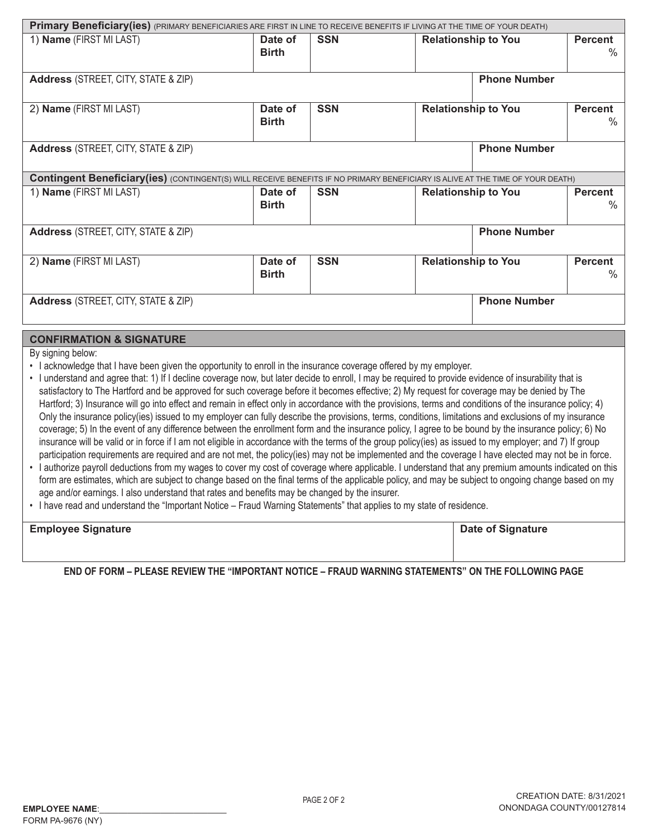| Primary Beneficiary(ies) (PRIMARY BENEFICIARIES ARE FIRST IN LINE TO RECEIVE BENEFITS IF LIVING AT THE TIME OF YOUR DEATH)             |                         |            |                                                      |                     |                        |  |  |
|----------------------------------------------------------------------------------------------------------------------------------------|-------------------------|------------|------------------------------------------------------|---------------------|------------------------|--|--|
| 1) Name (FIRST MI LAST)                                                                                                                | Date of<br><b>Birth</b> | <b>SSN</b> | <b>Relationship to You</b>                           |                     | <b>Percent</b><br>$\%$ |  |  |
| <b>Address</b> (STREET, CITY, STATE & ZIP)                                                                                             | <b>Phone Number</b>     |            |                                                      |                     |                        |  |  |
| 2) Name (FIRST MI LAST)                                                                                                                | Date of<br><b>Birth</b> | <b>SSN</b> | <b>Relationship to You</b><br><b>Percent</b>         |                     | ℅                      |  |  |
| <b>Phone Number</b><br><b>Address</b> (STREET, CITY, STATE & ZIP)                                                                      |                         |            |                                                      |                     |                        |  |  |
| <b>Contingent Beneficiary (ies)</b> (CONTINGENT(S) WILL RECEIVE BENEFITS IF NO PRIMARY BENEFICIARY IS ALIVE AT THE TIME OF YOUR DEATH) |                         |            |                                                      |                     |                        |  |  |
| 1) Name (FIRST MI LAST)                                                                                                                | Date of<br><b>Birth</b> | <b>SSN</b> | <b>Relationship to You</b><br><b>Percent</b><br>$\%$ |                     |                        |  |  |
| <b>Address</b> (STREET, CITY, STATE & ZIP)                                                                                             | <b>Phone Number</b>     |            |                                                      |                     |                        |  |  |
| 2) Name (FIRST MI LAST)                                                                                                                | Date of<br><b>Birth</b> | <b>SSN</b> | <b>Relationship to You</b><br><b>Percent</b><br>$\%$ |                     |                        |  |  |
| <b>Address</b> (STREET, CITY, STATE & ZIP)                                                                                             |                         |            |                                                      | <b>Phone Number</b> |                        |  |  |

### **CONFIRMATION & SIGNATURE**

By signing below:

- I acknowledge that I have been given the opportunity to enroll in the insurance coverage offered by my employer.
- · I understand and agree that: 1) If I decline coverage now, but later decide to enroll, I may be required to provide evidence of insurability that is satisfactory to The Hartford and be approved for such coverage before it becomes effective; 2) My request for coverage may be denied by The Hartford; 3) Insurance will go into effect and remain in effect only in accordance with the provisions, terms and conditions of the insurance policy; 4) Only the insurance policy(ies) issued to my employer can fully describe the provisions, terms, conditions, limitations and exclusions of my insurance coverage; 5) In the event of any difference between the enrollment form and the insurance policy, I agree to be bound by the insurance policy; 6) No insurance will be valid or in force if I am not eligible in accordance with the terms of the group policy(ies) as issued to my employer; and 7) If group participation requirements are required and are not met, the policy(ies) may not be implemented and the coverage I have elected may not be in force.
- I authorize payroll deductions from my wages to cover my cost of coverage where applicable. I understand that any premium amounts indicated on this form are estimates, which are subject to change based on the final terms of the applicable policy, and may be subject to ongoing change based on my age and/or earnings. I also understand that rates and benefits may be changed by the insurer.
- . I have read and understand the "Important Notice Fraud Warning Statements" that applies to my state of residence.

| <b>Employee Signature</b> | <b>Date of Signature</b> |
|---------------------------|--------------------------|
|                           |                          |
|                           |                          |

END OF FORM – PLEASE REVIEW THE "IMPORTANT NOTICE – FRAUD WARNING STATEMENTS" ON THE FOLLOWING PAGE